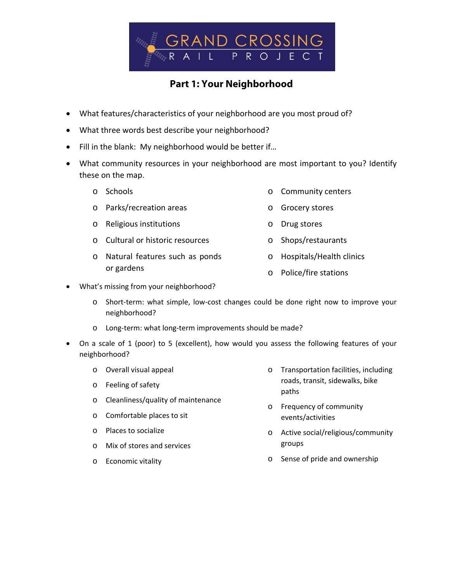

## **Part 1: Your Neighborhood**

- What features/characteristics of your neighborhood are you most proud of?
- What three words best describe your neighborhood?
- Fill in the blank: My neighborhood would be better if…
- What community resources in your neighborhood are most important to you? Identify these on the map.
	- o Schools
	- o Parks/recreation areas
	- o Religious institutions
	- o Cultural or historic resources
	- o Natural features such as ponds or gardens
- o Community centers
- o Grocery stores
- o Drug stores
- o Shops/restaurants
	- o Hospitals/Health clinics
	- o Police/fire stations
- What's missing from your neighborhood?
	- o Short‐term: what simple, low‐cost changes could be done right now to improve your neighborhood?
	- o Long‐term: what long‐term improvements should be made?
- On a scale of 1 (poor) to 5 (excellent), how would you assess the following features of your neighborhood?
	- o Overall visual appeal
	- o Feeling of safety
	- o Cleanliness/quality of maintenance
	- o Comfortable places to sit
	- o Places to socialize
	- o Mix of stores and services
	- o Economic vitality
- o Transportation facilities, including roads, transit, sidewalks, bike paths
- o Frequency of community events/activities
- o Active social/religious/community groups
- o Sense of pride and ownership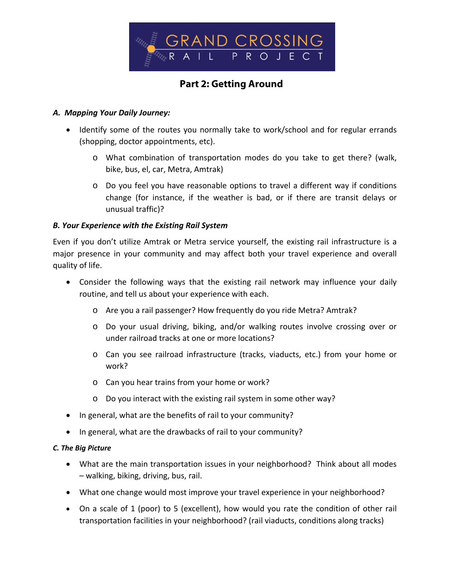

# **Part 2: Getting Around**

#### *A. Mapping Your Daily Journey:*

- Identify some of the routes you normally take to work/school and for regular errands (shopping, doctor appointments, etc).
	- o What combination of transportation modes do you take to get there? (walk, bike, bus, el, car, Metra, Amtrak)
	- o Do you feel you have reasonable options to travel a different way if conditions change (for instance, if the weather is bad, or if there are transit delays or unusual traffic)?

### *B. Your Experience with the Existing Rail System*

Even if you don't utilize Amtrak or Metra service yourself, the existing rail infrastructure is a major presence in your community and may affect both your travel experience and overall quality of life.

- Consider the following ways that the existing rail network may influence your daily routine, and tell us about your experience with each.
	- o Are you a rail passenger? How frequently do you ride Metra? Amtrak?
	- o Do your usual driving, biking, and/or walking routes involve crossing over or under railroad tracks at one or more locations?
	- o Can you see railroad infrastructure (tracks, viaducts, etc.) from your home or work?
	- o Can you hear trains from your home or work?
	- o Do you interact with the existing rail system in some other way?
- In general, what are the benefits of rail to your community?
- In general, what are the drawbacks of rail to your community?

#### *C. The Big Picture*

- What are the main transportation issues in your neighborhood? Think about all modes – walking, biking, driving, bus, rail.
- What one change would most improve your travel experience in your neighborhood?
- On a scale of 1 (poor) to 5 (excellent), how would you rate the condition of other rail transportation facilities in your neighborhood? (rail viaducts, conditions along tracks)